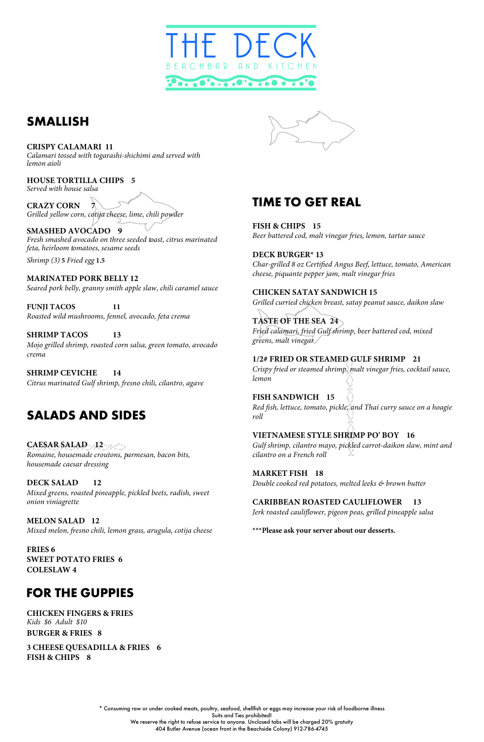\* Consuming raw or under cooked meats, poultry, seafood, shellfish or eggs may increase your risk of foodborne illness Suits and Ties prohibited! We reserve the right to refuse service to anyone. Unclosed tabs will be charged 20% gratuity 404 Butler Avenue (ocean front in the Beachside Colony) 912-786-4745

# **TIME TO GET REAL**

**FISH & CHIPS 15** *Beer battered cod, malt vinegar fries, lemon, tartar sauce*

**DECK BURGER\* 13** *Char-grilled 8 oz Certified Angus Beef, lettuce, tomato, American cheese, piquante pepper jam, malt vinegar fries*

**CHICKEN SATAY SANDWICH 15** *Grilled curried chicken breast, satay peanut sauce, daikon slaw*

**TASTE OF THE SEA 24** *Fried calamari, fried Gulf shrimp, beer battered cod, mixed greens, malt vinegar* 

**1/2# FRIED OR STEAMED GULF SHRIMP 21** *Crispy fried or steamed shrimp, malt vinegar fries, cocktail sauce, lemon*

**FISH SANDWICH 15** *Red fish, lettuce, tomato, pickle, and Thai curry sauce on a hoagie roll*

**VIETNAMESE STYLE SHRIMP PO' BOY 16** *Gulf shrimp, cilantro mayo, pickled carrot-daikon slaw, mint and cilantro on a French roll*

**CAESAR SALAD 12 12** *Romaine, housemade croutons, parmesan, bacon bits, housemade caesar dressing* 

> **MARKET FISH 18** *Double cooked red potatoes, melted leeks & brown butter*

**CARIBBEAN ROASTED CAULIFLOWER 13**

*Jerk roasted cauliflower, pigeon peas, grilled pineapple salsa*

**\*\*\*Please ask your server about our desserts.**



# **SMALLISH**

**CRISPY CALAMARI 11** *Calamari tossed with togarashi-shichimi and served with lemon aioli*

**HOUSE TORTILLA CHIPS 5**

*Served with house salsa*

**CRAZY CORN 7** *Grilled yellow corn, cotija cheese, lime, chili powder*

**SMASHED AVOCADO 9** *Fresh smashed avocado on three seeded toast, citrus marinated feta, heirloom tomatoes, sesame seeds*

*Shrimp (3)* **5** *Fried egg* **1.5**

**MARINATED PORK BELLY 12** *Seared pork belly, granny smith apple slaw, chili caramel sauce*

**FUNJI TACOS 11** *Roasted wild mushrooms, fennel, avocado, feta crema*

**SHRIMP TACOS 13** *Mojo grilled shrimp, roasted corn salsa, green tomato, avocado crema*

**SHRIMP CEVICHE 14** *Citrus marinated Gulf shrimp, fresno chili, cilantro, agave*

# **SALADS AND SIDES**

**DECK SALAD 12** *Mixed greens, roasted pineapple, pickled beets, radish, sweet onion viniagrette*

**MELON SALAD 12** *Mixed melon, fresno chili, lemon grass, arugula, cotija cheese*



**FRIES 6 SWEET POTATO FRIES 6 COLESLAW 4** 

## **FOR THE GUPPIES**

#### **CHICKEN FINGERS & FRIES** *Kids \$6 Adult \$10*

**BURGER & FRIES 8** 

### **3 CHEESE QUESADILLA & FRIES 6 FISH & CHIPS 8**